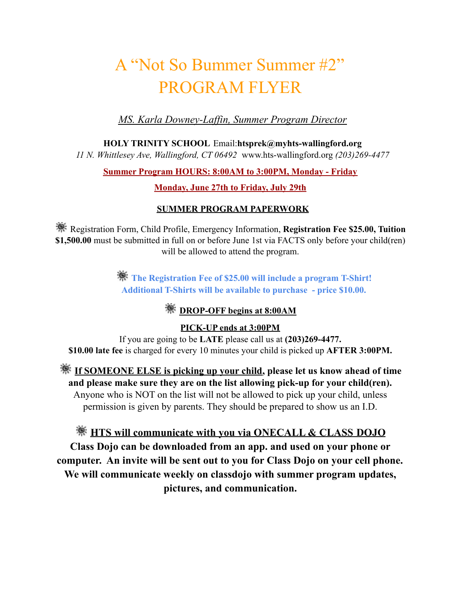# A "Not So Bummer Summer #2" PROGRAM FLYER

*MS. Karla Downey-Laf in, Summer Program Director*

**HOLY TRINITY SCHOOL** Email:**htsprek@myhts-wallingford.org**

*11 N. Whittlesey Ave, Wallingford, CT 06492* www.hts-wallingford.org *(203)269-4477*

#### **Summer Program HOURS: 8:00AM to 3:00PM, Monday - Friday**

#### **Monday, June 27th to Friday, July 29th**

#### **SUMMER PROGRAM PAPERWORK**

**WE** Registration Form, Child Profile, Emergency Information, **Registration Fee \$25.00, Tuition \$1,500.00** must be submitted in full on or before June 1st via FACTS only before your child(ren) will be allowed to attend the program.

> **The Registration Fee of \$25.00 will include a program T-Shirt! Additional T-Shirts will be available to purchase - price \$10.00.**

### *<b>WE* DROP-OFF begins at 8:00AM

**PICK-UP ends at 3:00PM**

If you are going to be **LATE** please call us at **(203)269-4477. \$10.00 late fee** is charged for every 10 minutes your child is picked up **AFTER 3:00PM.**

**If SOMEONE ELSE is picking up your child, please let us know ahead of time and please make sure they are on the list allowing pick-up for your child(ren).** Anyone who is NOT on the list will not be allowed to pick up your child, unless permission is given by parents. They should be prepared to show us an I.D.

**HTS will communicate with you via ONECALL & CLASS DOJO Class Dojo can be downloaded from an app. and used on your phone or computer. An invite will be sent out to you for Class Dojo on your cell phone. We will communicate weekly on classdojo with summer program updates, pictures, and communication.**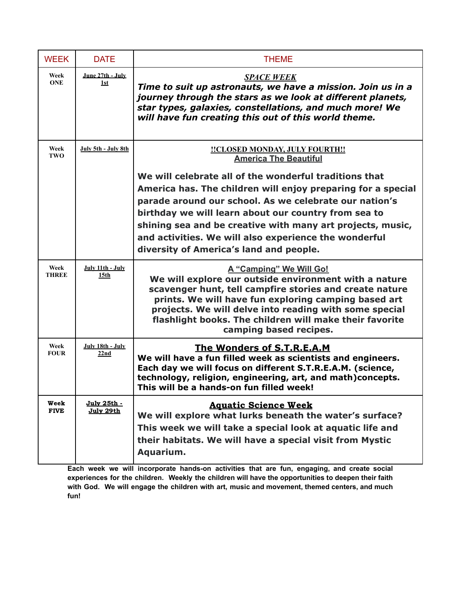| <b>WEEK</b>          | <b>DATE</b>                          | <b>THEME</b>                                                                                                                                                                                                                                                                                                                                                                                               |
|----------------------|--------------------------------------|------------------------------------------------------------------------------------------------------------------------------------------------------------------------------------------------------------------------------------------------------------------------------------------------------------------------------------------------------------------------------------------------------------|
| Week<br><b>ONE</b>   | June 27th - July<br>1st              | <b>SPACE WEEK</b><br>Time to suit up astronauts, we have a mission. Join us in a<br>journey through the stars as we look at different planets,<br>star types, galaxies, constellations, and much more! We<br>will have fun creating this out of this world theme.                                                                                                                                          |
| Week<br>TWO          | July 5th - July 8th                  | <b>!!CLOSED MONDAY, JULY FOURTH!!</b><br><b>America The Beautiful</b>                                                                                                                                                                                                                                                                                                                                      |
|                      |                                      | We will celebrate all of the wonderful traditions that<br>America has. The children will enjoy preparing for a special<br>parade around our school. As we celebrate our nation's<br>birthday we will learn about our country from sea to<br>shining sea and be creative with many art projects, music,<br>and activities. We will also experience the wonderful<br>diversity of America's land and people. |
| Week<br><b>THREE</b> | July 11th - July<br>15 <sub>th</sub> | A "Camping" We Will Go!<br>We will explore our outside environment with a nature<br>scavenger hunt, tell campfire stories and create nature<br>prints. We will have fun exploring camping based art<br>projects. We will delve into reading with some special<br>flashlight books. The children will make their favorite<br>camping based recipes.                                                         |
| Week<br><b>FOUR</b>  | July 18th - July<br>22nd             | The Wonders of S.T.R.E.A.M<br>We will have a fun filled week as scientists and engineers.<br>Each day we will focus on different S.T.R.E.A.M. (science,<br>technology, religion, engineering, art, and math)concepts.<br>This will be a hands-on fun filled week!                                                                                                                                          |
| Week<br><b>FIVE</b>  | <u> July 25th - </u><br>July 29th    | <b>Aquatic Science Week</b><br>We will explore what lurks beneath the water's surface?<br>This week we will take a special look at aquatic life and<br>their habitats. We will have a special visit from Mystic<br>Aquarium.                                                                                                                                                                               |

**Each week we will incorporate hands-on activities that are fun, engaging, and create social experiences for the children. Weekly the children will have the opportunities to deepen their faith with God. We will engage the children with art, music and movement, themed centers, and much fun!**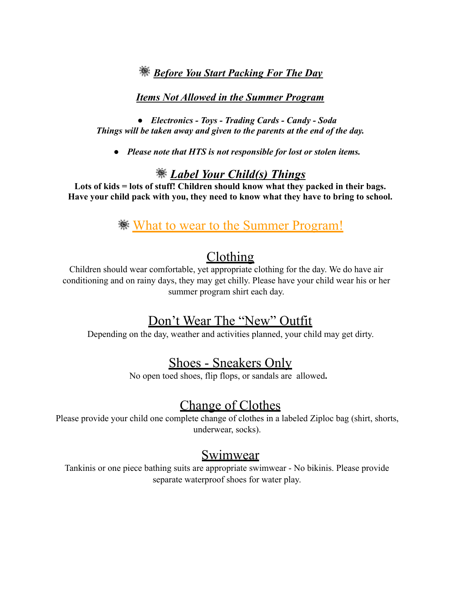### *Before You Start Packing For The Day*

#### *Items Not Allowed in the Summer Program*

*● Electronics - Toys - Trading Cards - Candy - Soda Things will be taken away and given to the parents at the end of the day.*

*● Please note that HTS is not responsible for lost or stolen items.*

### *Label Your Child(s) Things*

**Lots of kids = lots of stuff! Children should know what they packed in their bags. Have your child pack with you, they need to know what they have to bring to school.**

## **What to wear to the Summer Program!**

# Clothing

Children should wear comfortable, yet appropriate clothing for the day. We do have air conditioning and on rainy days, they may get chilly. Please have your child wear his or her summer program shirt each day.

# Don't Wear The "New" Outfit

Depending on the day, weather and activities planned, your child may get dirty.

# Shoes - Sneakers Only

No open toed shoes, flip flops, or sandals are allowed**.**

## Change of Clothes

Please provide your child one complete change of clothes in a labeled Ziploc bag (shirt, shorts, underwear, socks).

### **Swimwear**

Tankinis or one piece bathing suits are appropriate swimwear - No bikinis. Please provide separate waterproof shoes for water play.